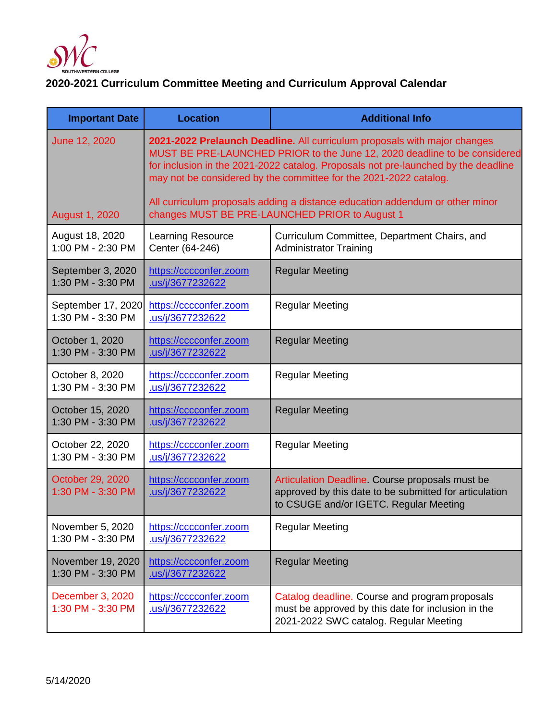

## **2020-2021 Curriculum Committee Meeting and Curriculum Approval Calendar**

| <b>Important Date</b>                   | <b>Location</b>                                                                                                                                                                                                                                                                                                   | <b>Additional Info</b>                                                                                                                              |
|-----------------------------------------|-------------------------------------------------------------------------------------------------------------------------------------------------------------------------------------------------------------------------------------------------------------------------------------------------------------------|-----------------------------------------------------------------------------------------------------------------------------------------------------|
| June 12, 2020                           | 2021-2022 Prelaunch Deadline. All curriculum proposals with major changes<br>MUST BE PRE-LAUNCHED PRIOR to the June 12, 2020 deadline to be considered<br>for inclusion in the 2021-2022 catalog. Proposals not pre-launched by the deadline<br>may not be considered by the committee for the 2021-2022 catalog. |                                                                                                                                                     |
| <b>August 1, 2020</b>                   | All curriculum proposals adding a distance education addendum or other minor<br>changes MUST BE PRE-LAUNCHED PRIOR to August 1                                                                                                                                                                                    |                                                                                                                                                     |
| August 18, 2020<br>1:00 PM - 2:30 PM    | <b>Learning Resource</b><br>Center (64-246)                                                                                                                                                                                                                                                                       | Curriculum Committee, Department Chairs, and<br><b>Administrator Training</b>                                                                       |
| September 3, 2020<br>1:30 PM - 3:30 PM  | https://cccconfer.zoom<br>us/j/3677232622                                                                                                                                                                                                                                                                         | <b>Regular Meeting</b>                                                                                                                              |
| September 17, 2020<br>1:30 PM - 3:30 PM | https://cccconfer.zoom<br>.us/j/3677232622                                                                                                                                                                                                                                                                        | <b>Regular Meeting</b>                                                                                                                              |
| October 1, 2020<br>1:30 PM - 3:30 PM    | https://cccconfer.zoom<br>us/j/3677232622                                                                                                                                                                                                                                                                         | <b>Regular Meeting</b>                                                                                                                              |
| October 8, 2020<br>1:30 PM - 3:30 PM    | https://cccconfer.zoom<br>.us/j/3677232622                                                                                                                                                                                                                                                                        | <b>Regular Meeting</b>                                                                                                                              |
| October 15, 2020<br>1:30 PM - 3:30 PM   | https://cccconfer.zoom<br>.us/j/3677232622                                                                                                                                                                                                                                                                        | <b>Regular Meeting</b>                                                                                                                              |
| October 22, 2020<br>1:30 PM - 3:30 PM   | https://cccconfer.zoom<br>us/j/3677232622                                                                                                                                                                                                                                                                         | <b>Regular Meeting</b>                                                                                                                              |
| October 29, 2020<br>1:30 PM - 3:30 PM   | https://cccconfer.zoom<br>.us/j/3677232622                                                                                                                                                                                                                                                                        | Articulation Deadline. Course proposals must be<br>approved by this date to be submitted for articulation<br>to CSUGE and/or IGETC. Regular Meeting |
| November 5, 2020<br>1:30 PM - 3:30 PM   | https://cccconfer.zoom<br>.us/j/3677232622                                                                                                                                                                                                                                                                        | <b>Regular Meeting</b>                                                                                                                              |
| November 19, 2020<br>1:30 PM - 3:30 PM  | https://cccconfer.zoom<br>.us/j/3677232622                                                                                                                                                                                                                                                                        | <b>Regular Meeting</b>                                                                                                                              |
| December 3, 2020<br>1:30 PM - 3:30 PM   | https://cccconfer.zoom<br>.us/j/3677232622                                                                                                                                                                                                                                                                        | Catalog deadline. Course and program proposals<br>must be approved by this date for inclusion in the<br>2021-2022 SWC catalog. Regular Meeting      |